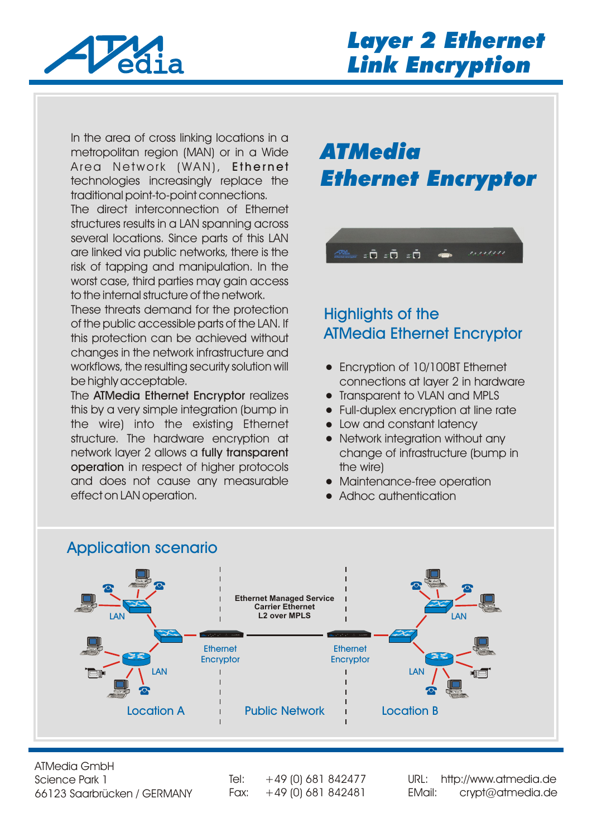

In the area of cross linking locations in a metropolitan region (MAN) or in a Wide Area Network (WAN), Ethernet technologies increasingly replace the traditional point-to-point connections.

The direct interconnection of Ethernet structures results in a LAN spanning across several locations. Since parts of this LAN are linked via public networks, there is the risk of tapping and manipulation. In the worst case, third parties may gain access to the internal structure of the network.

These threats demand for the protection of the public accessible parts of the LAN. If this protection can be achieved without changes in the network infrastructure and workflows, the resulting security solution will be highly acceptable.

The ATMedia Ethernet Encryptor realizes this by a very simple integration (bump in the wire) into the existing Ethernet structure. The hardware encryption at network layer 2 allows a fully transparent operation in respect of higher protocols and does not cause any measurable effect on LAN operation.

# *ATMedia Ethernet Encryptor*



### Highlights of the ATMedia Ethernet Encryptor

- Encryption of 10/100BT Ethernet connections at layer 2 in hardware
- Transparent to VLAN and MPLS
- Full-duplex encryption at line rate
- Low and constant latency
- Network integration without any change of infrastructure (bump in the wire)
- Maintenance-free operation
- Adhoc authentication



ATMedia GmbH Science Park 1 66123 Saarbrücken / GERMANY

Tel:  $+49$  (0) 681 842477

Fax: +49 (0) 681 842481 [EMail: crypt@atmedia.de](http://www.atmedia.de) URL: http://www.atmedia.de